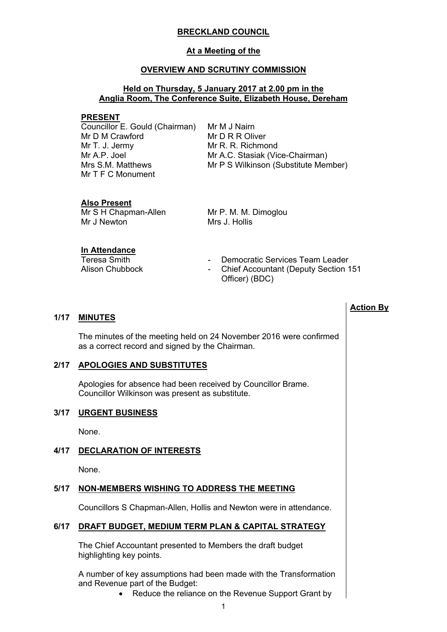# **BRECKLAND COUNCIL**

#### **At a Meeting of the**

#### **OVERVIEW AND SCRUTINY COMMISSION**

### **Held on Thursday, 5 January 2017 at 2.00 pm in the Anglia Room, The Conference Suite, Elizabeth House, Dereham**

#### **PRESENT**

Councillor E. Gould (Chairman) Mr D M Crawford Mr T. J. Jermy Mr A.P. Joel Mrs S.M. Matthews Mr T F C Monument

Mr M J Nairn Mr D R R Oliver Mr R. R. Richmond Mr A.C. Stasiak (Vice-Chairman) Mr P S Wilkinson (Substitute Member)

# **Also Present**

Mr S H Chapman-Allen Mr J Newton

Mr P. M. M. Dimoglou Mrs J. Hollis

#### **In Attendance**

- Teresa Smith Teresa Smith **-** Democratic Services Team Leader
- Alison Chubbock Chief Accountant (Deputy Section 151 Officer) (BDC)

**Action By**

### **1/17 MINUTES**

The minutes of the meeting held on 24 November 2016 were confirmed as a correct record and signed by the Chairman.

#### **2/17 APOLOGIES AND SUBSTITUTES**

Apologies for absence had been received by Councillor Brame. Councillor Wilkinson was present as substitute.

#### **3/17 URGENT BUSINESS**

None.

# **4/17 DECLARATION OF INTERESTS**

None.

# **5/17 NON-MEMBERS WISHING TO ADDRESS THE MEETING**

Councillors S Chapman-Allen, Hollis and Newton were in attendance.

# **6/17 DRAFT BUDGET, MEDIUM TERM PLAN & CAPITAL STRATEGY**

The Chief Accountant presented to Members the draft budget highlighting key points.

A number of key assumptions had been made with the Transformation and Revenue part of the Budget:

• Reduce the reliance on the Revenue Support Grant by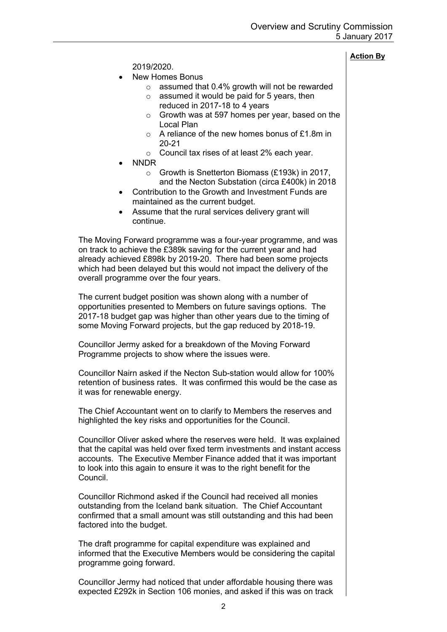# **Action By**

2019/2020.

- New Homes Bonus
	- o assumed that 0.4% growth will not be rewarded
	- $\circ$  assumed it would be paid for 5 years, then reduced in 2017-18 to 4 years
	- o Growth was at 597 homes per year, based on the Local Plan
	- o A reliance of the new homes bonus of £1.8m in 20-21
	- o Council tax rises of at least 2% each year.
- NNDR
	- o Growth is Snetterton Biomass (£193k) in 2017, and the Necton Substation (circa £400k) in 2018
- Contribution to the Growth and Investment Funds are maintained as the current budget.
- Assume that the rural services delivery grant will continue.

The Moving Forward programme was a four-year programme, and was on track to achieve the £389k saving for the current year and had already achieved £898k by 2019-20. There had been some projects which had been delayed but this would not impact the delivery of the overall programme over the four years.

The current budget position was shown along with a number of opportunities presented to Members on future savings options. The 2017-18 budget gap was higher than other years due to the timing of some Moving Forward projects, but the gap reduced by 2018-19.

Councillor Jermy asked for a breakdown of the Moving Forward Programme projects to show where the issues were.

Councillor Nairn asked if the Necton Sub-station would allow for 100% retention of business rates. It was confirmed this would be the case as it was for renewable energy.

The Chief Accountant went on to clarify to Members the reserves and highlighted the key risks and opportunities for the Council.

Councillor Oliver asked where the reserves were held. It was explained that the capital was held over fixed term investments and instant access accounts. The Executive Member Finance added that it was important to look into this again to ensure it was to the right benefit for the Council.

Councillor Richmond asked if the Council had received all monies outstanding from the Iceland bank situation. The Chief Accountant confirmed that a small amount was still outstanding and this had been factored into the budget.

The draft programme for capital expenditure was explained and informed that the Executive Members would be considering the capital programme going forward.

Councillor Jermy had noticed that under affordable housing there was expected £292k in Section 106 monies, and asked if this was on track